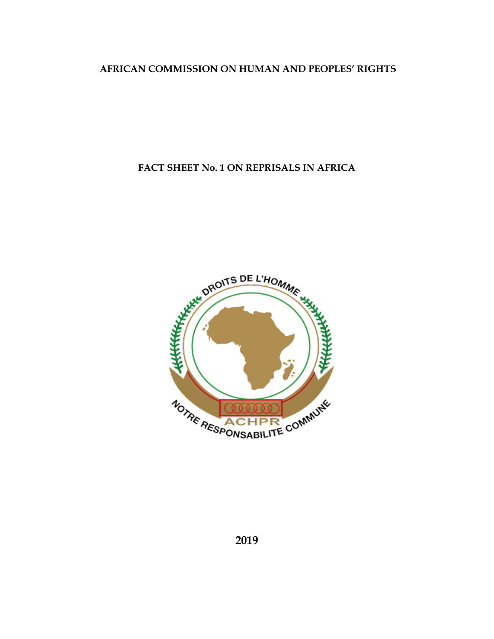# **AFRICAN COMMISSION ON HUMAN AND PEOPLES' RIGHTS**

# **FACT SHEET No. 1 ON REPRISALS IN AFRICA**

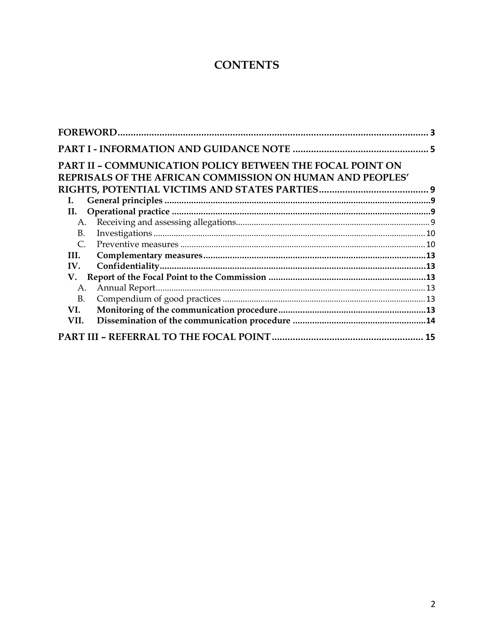# **CONTENTS**

|           |                                                                                                                        | 3 |
|-----------|------------------------------------------------------------------------------------------------------------------------|---|
|           |                                                                                                                        |   |
|           | PART II - COMMUNICATION POLICY BETWEEN THE FOCAL POINT ON<br>REPRISALS OF THE AFRICAN COMMISSION ON HUMAN AND PEOPLES' |   |
|           |                                                                                                                        |   |
| L.<br>II. |                                                                                                                        |   |
| A.        |                                                                                                                        |   |
| B.        |                                                                                                                        |   |
| C.        |                                                                                                                        |   |
| III.      |                                                                                                                        |   |
| IV.       |                                                                                                                        |   |
| V.        |                                                                                                                        |   |
| A.        |                                                                                                                        |   |
| <b>B.</b> |                                                                                                                        |   |
| VI.       |                                                                                                                        |   |
| VII.      |                                                                                                                        |   |
|           |                                                                                                                        |   |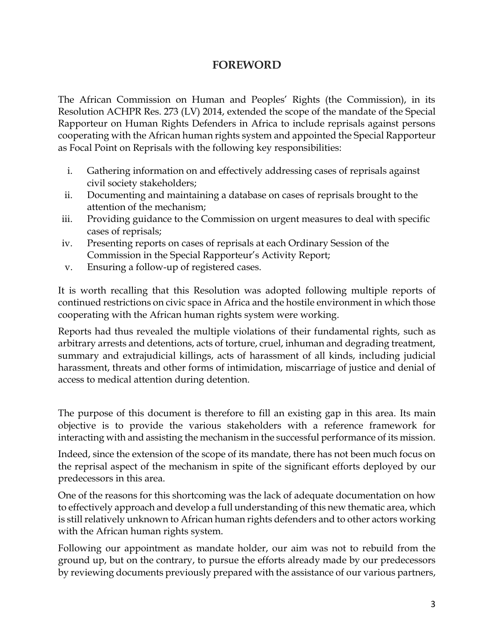# **FOREWORD**

<span id="page-2-0"></span>The African Commission on Human and Peoples' Rights (the Commission), in its Resolution ACHPR Res. 273 (LV) 2014, extended the scope of the mandate of the Special Rapporteur on Human Rights Defenders in Africa to include reprisals against persons cooperating with the African human rights system and appointed the Special Rapporteur as Focal Point on Reprisals with the following key responsibilities:

- i. Gathering information on and effectively addressing cases of reprisals against civil society stakeholders;
- ii. Documenting and maintaining a database on cases of reprisals brought to the attention of the mechanism;
- iii. Providing guidance to the Commission on urgent measures to deal with specific cases of reprisals;
- iv. Presenting reports on cases of reprisals at each Ordinary Session of the Commission in the Special Rapporteur's Activity Report;
- v. Ensuring a follow-up of registered cases.

It is worth recalling that this Resolution was adopted following multiple reports of continued restrictions on civic space in Africa and the hostile environment in which those cooperating with the African human rights system were working.

Reports had thus revealed the multiple violations of their fundamental rights, such as arbitrary arrests and detentions, acts of torture, cruel, inhuman and degrading treatment, summary and extrajudicial killings, acts of harassment of all kinds, including judicial harassment, threats and other forms of intimidation, miscarriage of justice and denial of access to medical attention during detention.

The purpose of this document is therefore to fill an existing gap in this area. Its main objective is to provide the various stakeholders with a reference framework for interacting with and assisting the mechanism in the successful performance of its mission.

Indeed, since the extension of the scope of its mandate, there has not been much focus on the reprisal aspect of the mechanism in spite of the significant efforts deployed by our predecessors in this area.

One of the reasons for this shortcoming was the lack of adequate documentation on how to effectively approach and develop a full understanding of this new thematic area, which is still relatively unknown to African human rights defenders and to other actors working with the African human rights system.

Following our appointment as mandate holder, our aim was not to rebuild from the ground up, but on the contrary, to pursue the efforts already made by our predecessors by reviewing documents previously prepared with the assistance of our various partners,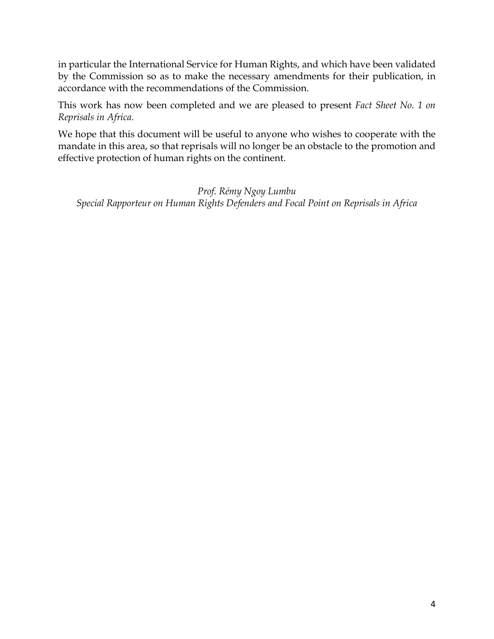in particular the International Service for Human Rights, and which have been validated by the Commission so as to make the necessary amendments for their publication, in accordance with the recommendations of the Commission.

This work has now been completed and we are pleased to present *Fact Sheet No. 1 on Reprisals in Africa*.

We hope that this document will be useful to anyone who wishes to cooperate with the mandate in this area, so that reprisals will no longer be an obstacle to the promotion and effective protection of human rights on the continent.

*Prof. Rémy Ngoy Lumbu Special Rapporteur on Human Rights Defenders and Focal Point on Reprisals in Africa*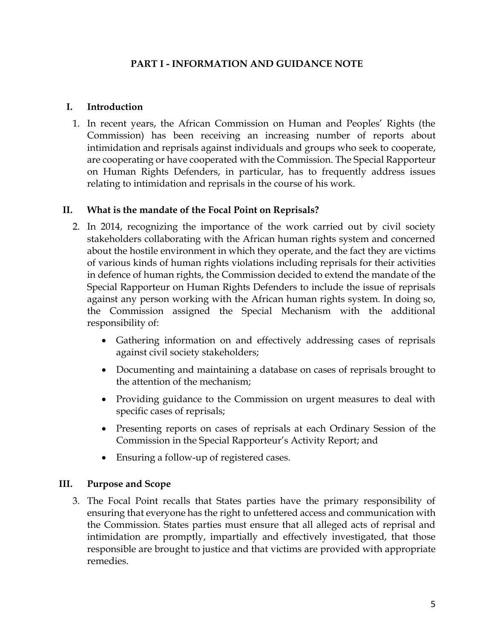### **PART I - INFORMATION AND GUIDANCE NOTE**

#### <span id="page-4-0"></span>**I. Introduction**

1. In recent years, the African Commission on Human and Peoples' Rights (the Commission) has been receiving an increasing number of reports about intimidation and reprisals against individuals and groups who seek to cooperate, are cooperating or have cooperated with the Commission. The Special Rapporteur on Human Rights Defenders, in particular, has to frequently address issues relating to intimidation and reprisals in the course of his work.

#### **II. What is the mandate of the Focal Point on Reprisals?**

- 2. In 2014, recognizing the importance of the work carried out by civil society stakeholders collaborating with the African human rights system and concerned about the hostile environment in which they operate, and the fact they are victims of various kinds of human rights violations including reprisals for their activities in defence of human rights, the Commission decided to extend the mandate of the Special Rapporteur on Human Rights Defenders to include the issue of reprisals against any person working with the African human rights system. In doing so, the Commission assigned the Special Mechanism with the additional responsibility of:
	- Gathering information on and effectively addressing cases of reprisals against civil society stakeholders;
	- Documenting and maintaining a database on cases of reprisals brought to the attention of the mechanism;
	- Providing guidance to the Commission on urgent measures to deal with specific cases of reprisals;
	- Presenting reports on cases of reprisals at each Ordinary Session of the Commission in the Special Rapporteur's Activity Report; and
	- Ensuring a follow-up of registered cases.

#### **III. Purpose and Scope**

3. The Focal Point recalls that States parties have the primary responsibility of ensuring that everyone has the right to unfettered access and communication with the Commission. States parties must ensure that all alleged acts of reprisal and intimidation are promptly, impartially and effectively investigated, that those responsible are brought to justice and that victims are provided with appropriate remedies.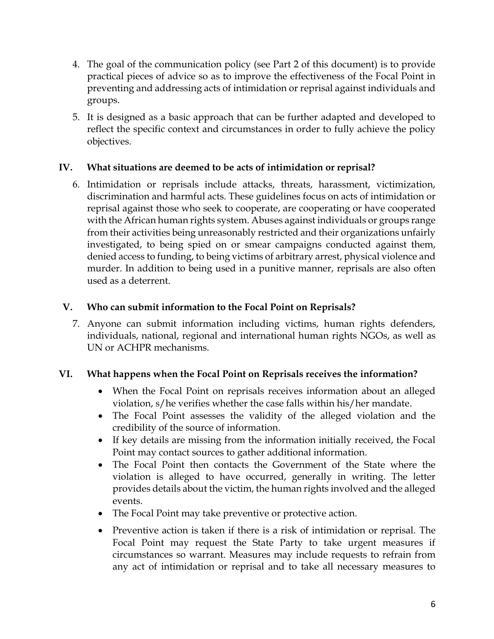- 4. The goal of the communication policy (see Part 2 of this document) is to provide practical pieces of advice so as to improve the effectiveness of the Focal Point in preventing and addressing acts of intimidation or reprisal against individuals and groups.
- 5. It is designed as a basic approach that can be further adapted and developed to reflect the specific context and circumstances in order to fully achieve the policy objectives.

# **IV. What situations are deemed to be acts of intimidation or reprisal?**

6. Intimidation or reprisals include attacks, threats, harassment, victimization, discrimination and harmful acts. These guidelines focus on acts of intimidation or reprisal against those who seek to cooperate, are cooperating or have cooperated with the African human rights system. Abuses against individuals or groups range from their activities being unreasonably restricted and their organizations unfairly investigated, to being spied on or smear campaigns conducted against them, denied access to funding, to being victims of arbitrary arrest, physical violence and murder. In addition to being used in a punitive manner, reprisals are also often used as a deterrent.

# **V. Who can submit information to the Focal Point on Reprisals?**

7. Anyone can submit information including victims, human rights defenders, individuals, national, regional and international human rights NGOs, as well as UN or ACHPR mechanisms.

# **VI. What happens when the Focal Point on Reprisals receives the information?**

- When the Focal Point on reprisals receives information about an alleged violation, s/he verifies whether the case falls within his/her mandate.
- The Focal Point assesses the validity of the alleged violation and the credibility of the source of information.
- If key details are missing from the information initially received, the Focal Point may contact sources to gather additional information.
- The Focal Point then contacts the Government of the State where the violation is alleged to have occurred, generally in writing. The letter provides details about the victim, the human rights involved and the alleged events.
- The Focal Point may take preventive or protective action.
- Preventive action is taken if there is a risk of intimidation or reprisal. The Focal Point may request the State Party to take urgent measures if circumstances so warrant. Measures may include requests to refrain from any act of intimidation or reprisal and to take all necessary measures to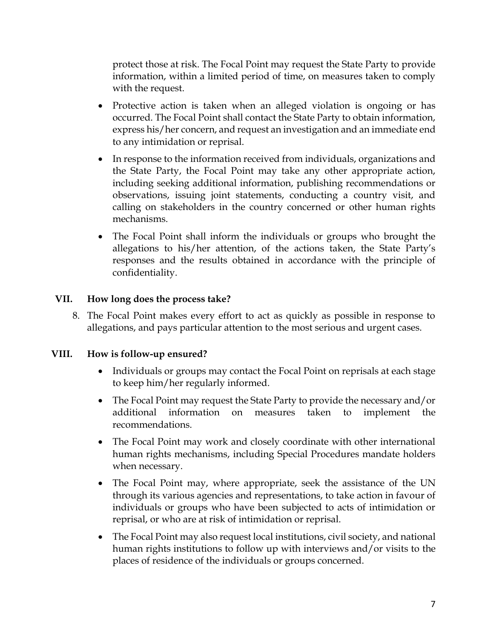protect those at risk. The Focal Point may request the State Party to provide information, within a limited period of time, on measures taken to comply with the request.

- Protective action is taken when an alleged violation is ongoing or has occurred. The Focal Point shall contact the State Party to obtain information, express his/her concern, and request an investigation and an immediate end to any intimidation or reprisal.
- In response to the information received from individuals, organizations and the State Party, the Focal Point may take any other appropriate action, including seeking additional information, publishing recommendations or observations, issuing joint statements, conducting a country visit, and calling on stakeholders in the country concerned or other human rights mechanisms.
- The Focal Point shall inform the individuals or groups who brought the allegations to his/her attention, of the actions taken, the State Party's responses and the results obtained in accordance with the principle of confidentiality.

# **VII. How long does the process take?**

8. The Focal Point makes every effort to act as quickly as possible in response to allegations, and pays particular attention to the most serious and urgent cases.

#### **VIII. How is follow-up ensured?**

- Individuals or groups may contact the Focal Point on reprisals at each stage to keep him/her regularly informed.
- The Focal Point may request the State Party to provide the necessary and/or additional information on measures taken to implement the recommendations.
- The Focal Point may work and closely coordinate with other international human rights mechanisms, including Special Procedures mandate holders when necessary.
- The Focal Point may, where appropriate, seek the assistance of the UN through its various agencies and representations, to take action in favour of individuals or groups who have been subjected to acts of intimidation or reprisal, or who are at risk of intimidation or reprisal.
- The Focal Point may also request local institutions, civil society, and national human rights institutions to follow up with interviews and/or visits to the places of residence of the individuals or groups concerned.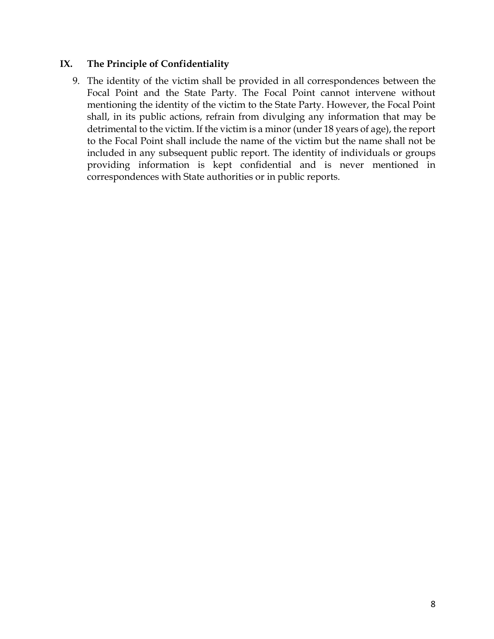#### **IX. The Principle of Confidentiality**

9. The identity of the victim shall be provided in all correspondences between the Focal Point and the State Party. The Focal Point cannot intervene without mentioning the identity of the victim to the State Party. However, the Focal Point shall, in its public actions, refrain from divulging any information that may be detrimental to the victim. If the victim is a minor (under 18 years of age), the report to the Focal Point shall include the name of the victim but the name shall not be included in any subsequent public report. The identity of individuals or groups providing information is kept confidential and is never mentioned in correspondences with State authorities or in public reports.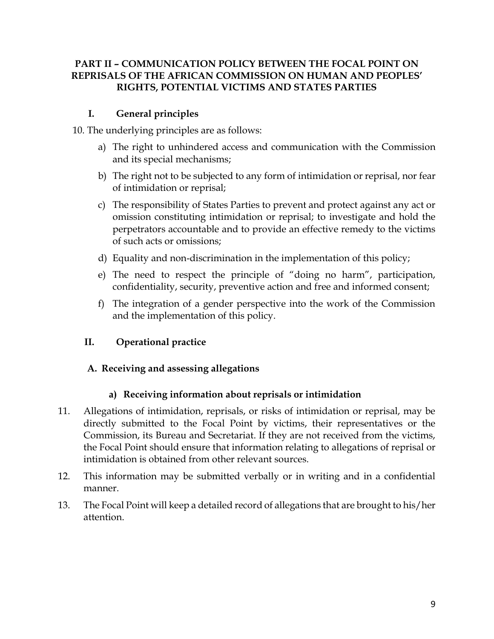# <span id="page-8-0"></span>**PART II – COMMUNICATION POLICY BETWEEN THE FOCAL POINT ON REPRISALS OF THE AFRICAN COMMISSION ON HUMAN AND PEOPLES' RIGHTS, POTENTIAL VICTIMS AND STATES PARTIES**

# **I. General principles**

<span id="page-8-1"></span>10. The underlying principles are as follows:

- a) The right to unhindered access and communication with the Commission and its special mechanisms;
- b) The right not to be subjected to any form of intimidation or reprisal, nor fear of intimidation or reprisal;
- c) The responsibility of States Parties to prevent and protect against any act or omission constituting intimidation or reprisal; to investigate and hold the perpetrators accountable and to provide an effective remedy to the victims of such acts or omissions;
- d) Equality and non-discrimination in the implementation of this policy;
- e) The need to respect the principle of "doing no harm", participation, confidentiality, security, preventive action and free and informed consent;
- f) The integration of a gender perspective into the work of the Commission and the implementation of this policy.

# <span id="page-8-2"></span>**II. Operational practice**

# <span id="page-8-3"></span>**A. Receiving and assessing allegations**

# **a) Receiving information about reprisals or intimidation**

- 11. Allegations of intimidation, reprisals, or risks of intimidation or reprisal, may be directly submitted to the Focal Point by victims, their representatives or the Commission, its Bureau and Secretariat. If they are not received from the victims, the Focal Point should ensure that information relating to allegations of reprisal or intimidation is obtained from other relevant sources.
- 12. This information may be submitted verbally or in writing and in a confidential manner.
- 13. The Focal Point will keep a detailed record of allegations that are brought to his/her attention.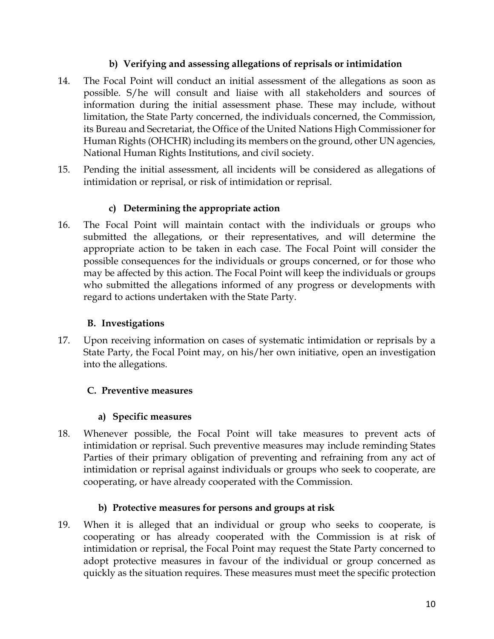# **b) Verifying and assessing allegations of reprisals or intimidation**

- 14. The Focal Point will conduct an initial assessment of the allegations as soon as possible. S/he will consult and liaise with all stakeholders and sources of information during the initial assessment phase. These may include, without limitation, the State Party concerned, the individuals concerned, the Commission, its Bureau and Secretariat, the Office of the United Nations High Commissioner for Human Rights (OHCHR) including its members on the ground, other UN agencies, National Human Rights Institutions, and civil society.
- 15. Pending the initial assessment, all incidents will be considered as allegations of intimidation or reprisal, or risk of intimidation or reprisal.

# **c) Determining the appropriate action**

16. The Focal Point will maintain contact with the individuals or groups who submitted the allegations, or their representatives, and will determine the appropriate action to be taken in each case. The Focal Point will consider the possible consequences for the individuals or groups concerned, or for those who may be affected by this action. The Focal Point will keep the individuals or groups who submitted the allegations informed of any progress or developments with regard to actions undertaken with the State Party.

# **B. Investigations**

<span id="page-9-0"></span>17. Upon receiving information on cases of systematic intimidation or reprisals by a State Party, the Focal Point may, on his/her own initiative, open an investigation into the allegations.

# <span id="page-9-1"></span>**C. Preventive measures**

# **a) Specific measures**

18. Whenever possible, the Focal Point will take measures to prevent acts of intimidation or reprisal. Such preventive measures may include reminding States Parties of their primary obligation of preventing and refraining from any act of intimidation or reprisal against individuals or groups who seek to cooperate, are cooperating, or have already cooperated with the Commission.

# **b) Protective measures for persons and groups at risk**

19. When it is alleged that an individual or group who seeks to cooperate, is cooperating or has already cooperated with the Commission is at risk of intimidation or reprisal, the Focal Point may request the State Party concerned to adopt protective measures in favour of the individual or group concerned as quickly as the situation requires. These measures must meet the specific protection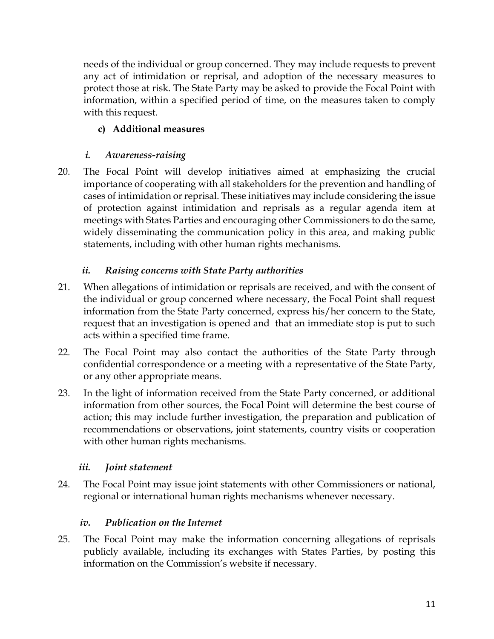needs of the individual or group concerned. They may include requests to prevent any act of intimidation or reprisal, and adoption of the necessary measures to protect those at risk. The State Party may be asked to provide the Focal Point with information, within a specified period of time, on the measures taken to comply with this request.

# **c) Additional measures**

# *i. Awareness-raising*

20. The Focal Point will develop initiatives aimed at emphasizing the crucial importance of cooperating with all stakeholders for the prevention and handling of cases of intimidation or reprisal. These initiatives may include considering the issue of protection against intimidation and reprisals as a regular agenda item at meetings with States Parties and encouraging other Commissioners to do the same, widely disseminating the communication policy in this area, and making public statements, including with other human rights mechanisms.

# *ii. Raising concerns with State Party authorities*

- 21. When allegations of intimidation or reprisals are received, and with the consent of the individual or group concerned where necessary, the Focal Point shall request information from the State Party concerned, express his/her concern to the State, request that an investigation is opened and that an immediate stop is put to such acts within a specified time frame.
- 22. The Focal Point may also contact the authorities of the State Party through confidential correspondence or a meeting with a representative of the State Party, or any other appropriate means.
- 23. In the light of information received from the State Party concerned, or additional information from other sources, the Focal Point will determine the best course of action; this may include further investigation, the preparation and publication of recommendations or observations, joint statements, country visits or cooperation with other human rights mechanisms.

# *iii. Joint statement*

24. The Focal Point may issue joint statements with other Commissioners or national, regional or international human rights mechanisms whenever necessary.

# *iv. Publication on the Internet*

25. The Focal Point may make the information concerning allegations of reprisals publicly available, including its exchanges with States Parties, by posting this information on the Commission's website if necessary.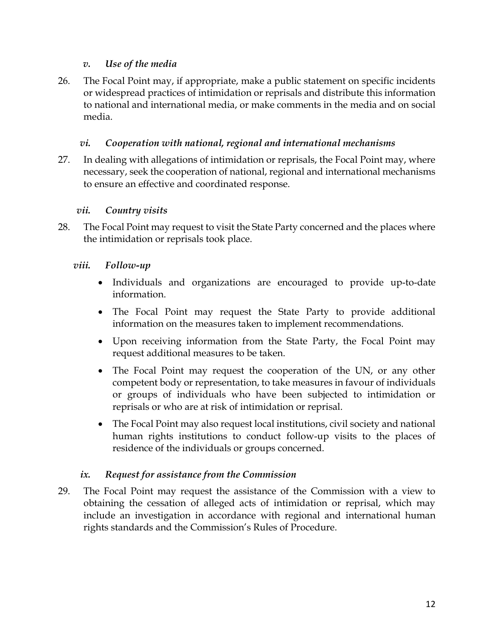### *v. Use of the media*

26. The Focal Point may, if appropriate, make a public statement on specific incidents or widespread practices of intimidation or reprisals and distribute this information to national and international media, or make comments in the media and on social media.

### *vi. Cooperation with national, regional and international mechanisms*

27. In dealing with allegations of intimidation or reprisals, the Focal Point may, where necessary, seek the cooperation of national, regional and international mechanisms to ensure an effective and coordinated response.

#### *vii. Country visits*

28. The Focal Point may request to visit the State Party concerned and the places where the intimidation or reprisals took place.

#### *viii. Follow-up*

- Individuals and organizations are encouraged to provide up-to-date information.
- The Focal Point may request the State Party to provide additional information on the measures taken to implement recommendations.
- Upon receiving information from the State Party, the Focal Point may request additional measures to be taken.
- The Focal Point may request the cooperation of the UN, or any other competent body or representation, to take measures in favour of individuals or groups of individuals who have been subjected to intimidation or reprisals or who are at risk of intimidation or reprisal.
- The Focal Point may also request local institutions, civil society and national human rights institutions to conduct follow-up visits to the places of residence of the individuals or groups concerned.

# *ix. Request for assistance from the Commission*

29. The Focal Point may request the assistance of the Commission with a view to obtaining the cessation of alleged acts of intimidation or reprisal, which may include an investigation in accordance with regional and international human rights standards and the Commission's Rules of Procedure.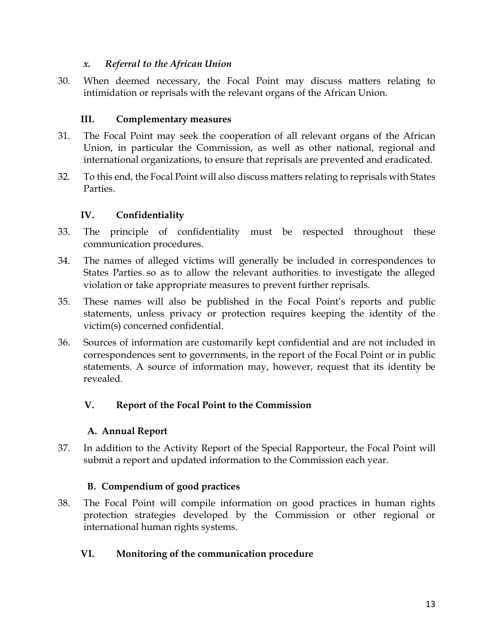### *x. Referral to the African Union*

30. When deemed necessary, the Focal Point may discuss matters relating to intimidation or reprisals with the relevant organs of the African Union.

# <span id="page-12-0"></span>**III. Complementary measures**

- 31. The Focal Point may seek the cooperation of all relevant organs of the African Union, in particular the Commission, as well as other national, regional and international organizations, to ensure that reprisals are prevented and eradicated.
- 32. To this end, the Focal Point will also discuss matters relating to reprisals with States **Parties**

# <span id="page-12-1"></span>**IV. Confidentiality**

- 33. The principle of confidentiality must be respected throughout these communication procedures.
- 34. The names of alleged victims will generally be included in correspondences to States Parties so as to allow the relevant authorities to investigate the alleged violation or take appropriate measures to prevent further reprisals.
- 35. These names will also be published in the Focal Point's reports and public statements, unless privacy or protection requires keeping the identity of the victim(s) concerned confidential.
- 36. Sources of information are customarily kept confidential and are not included in correspondences sent to governments, in the report of the Focal Point or in public statements. A source of information may, however, request that its identity be revealed.

# <span id="page-12-2"></span>**V. Report of the Focal Point to the Commission**

# **A. Annual Report**

<span id="page-12-3"></span>37. In addition to the Activity Report of the Special Rapporteur, the Focal Point will submit a report and updated information to the Commission each year.

# **B. Compendium of good practices**

<span id="page-12-4"></span>38. The Focal Point will compile information on good practices in human rights protection strategies developed by the Commission or other regional or international human rights systems.

# <span id="page-12-5"></span>**VI. Monitoring of the communication procedure**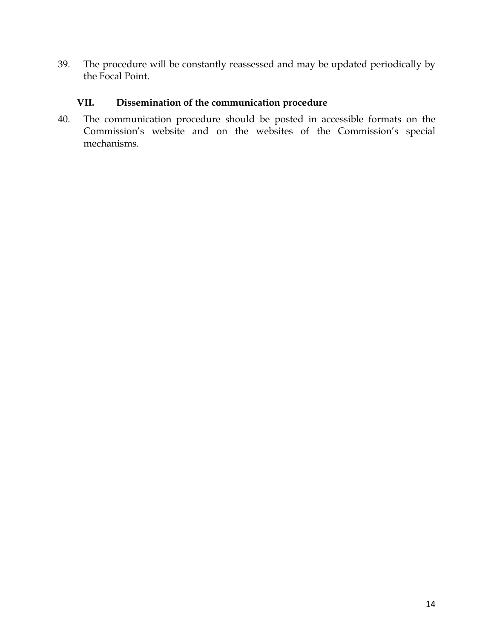39. The procedure will be constantly reassessed and may be updated periodically by the Focal Point.

# <span id="page-13-0"></span>**VII. Dissemination of the communication procedure**

40. The communication procedure should be posted in accessible formats on the Commission's website and on the websites of the Commission's special mechanisms.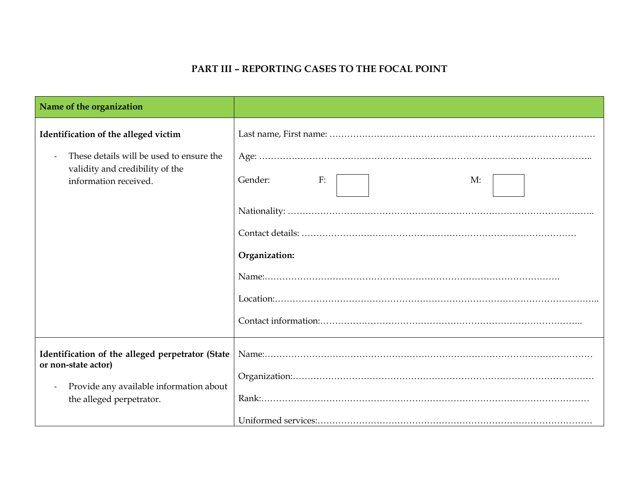# **PART III – REPORTING CASES TO THE FOCAL POINT**

<span id="page-14-0"></span>

| Name of the organization                                                                                                                       |                                      |
|------------------------------------------------------------------------------------------------------------------------------------------------|--------------------------------------|
| Identification of the alleged victim<br>These details will be used to ensure the<br>validity and credibility of the<br>information received.   | Gender:<br>F:<br>M:<br>Organization: |
| Identification of the alleged perpetrator (State<br>or non-state actor)<br>Provide any available information about<br>the alleged perpetrator. |                                      |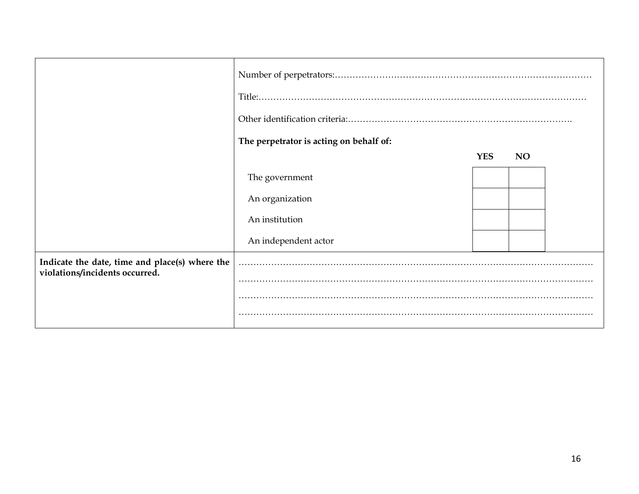|                                                                                  | The perpetrator is acting on behalf of: |            |           |  |
|----------------------------------------------------------------------------------|-----------------------------------------|------------|-----------|--|
|                                                                                  |                                         | <b>YES</b> | <b>NO</b> |  |
|                                                                                  | The government                          |            |           |  |
|                                                                                  | An organization                         |            |           |  |
|                                                                                  | An institution                          |            |           |  |
|                                                                                  | An independent actor                    |            |           |  |
| Indicate the date, time and place(s) where the<br>violations/incidents occurred. |                                         |            |           |  |
|                                                                                  |                                         |            |           |  |
|                                                                                  |                                         |            |           |  |
|                                                                                  |                                         |            |           |  |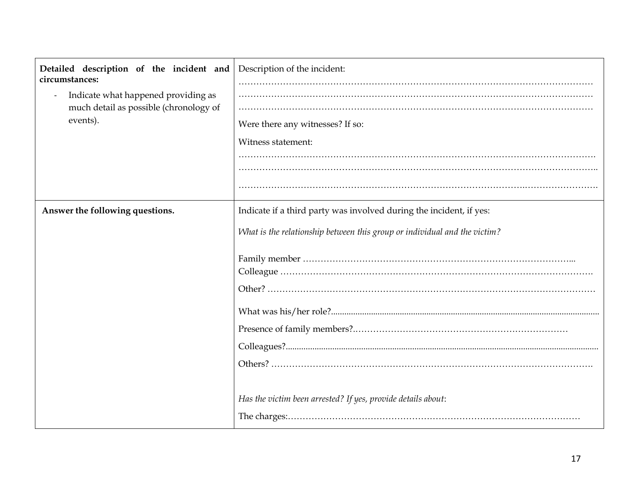| Detailed description of the incident and<br>circumstances:<br>Indicate what happened providing as<br>much detail as possible (chronology of<br>events). | Description of the incident:<br>Were there any witnesses? If so:<br>Witness statement:                                                                                                                           |
|---------------------------------------------------------------------------------------------------------------------------------------------------------|------------------------------------------------------------------------------------------------------------------------------------------------------------------------------------------------------------------|
| Answer the following questions.                                                                                                                         | Indicate if a third party was involved during the incident, if yes:<br>What is the relationship between this group or individual and the victim?<br>Has the victim been arrested? If yes, provide details about: |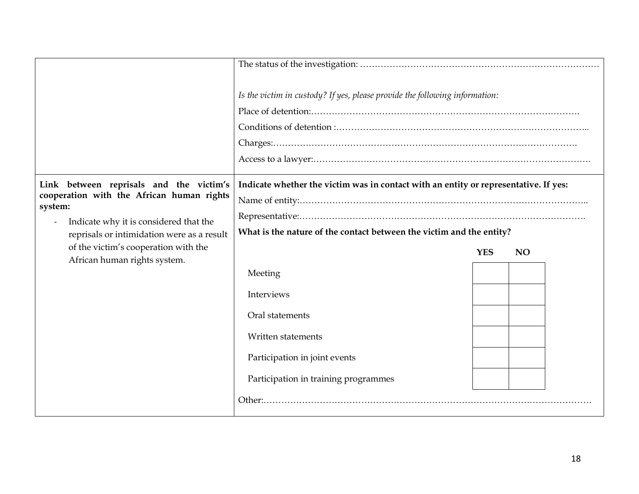|                                                                                                                                                                                                                                                                 | Is the victim in custody? If yes, please provide the following information:                                                                                                                                                                                                                                                                                                                                                                                                                                                                                                                                                                                                                                                                                                                                                                |            |           |  |
|-----------------------------------------------------------------------------------------------------------------------------------------------------------------------------------------------------------------------------------------------------------------|--------------------------------------------------------------------------------------------------------------------------------------------------------------------------------------------------------------------------------------------------------------------------------------------------------------------------------------------------------------------------------------------------------------------------------------------------------------------------------------------------------------------------------------------------------------------------------------------------------------------------------------------------------------------------------------------------------------------------------------------------------------------------------------------------------------------------------------------|------------|-----------|--|
| Link between reprisals and the victim's<br>cooperation with the African human rights<br>system:<br>Indicate why it is considered that the<br>reprisals or intimidation were as a result<br>of the victim's cooperation with the<br>African human rights system. | Indicate whether the victim was in contact with an entity or representative. If yes:<br>$\label{eq:Representative} \textbf{Representative}:\textcolor{red}{\textbf{.}}\textcolor{red}{\textbf{.}}\textcolor{red}{\textbf{.}}\textcolor{red}{\textbf{.}}\textcolor{red}{\textbf{.}}\textcolor{red}{\textbf{.}}\textcolor{red}{\textbf{.}}\textcolor{red}{\textbf{.}}\textcolor{red}{\textbf{.}}\textcolor{red}{\textbf{.}}\textcolor{red}{\textbf{.}}\textcolor{red}{\textbf{.}}\textcolor{red}{\textbf{.}}\textcolor{red}{\textbf{.}}\textcolor{red}{\textbf{.}}\textcolor{red}{\textbf{.}}\textcolor{red}{\textbf{.}}$<br>What is the nature of the contact between the victim and the entity?<br>Meeting<br>Interviews<br>Oral statements<br>Written statements<br>Participation in joint events<br>Participation in training programmes | <b>YES</b> | <b>NO</b> |  |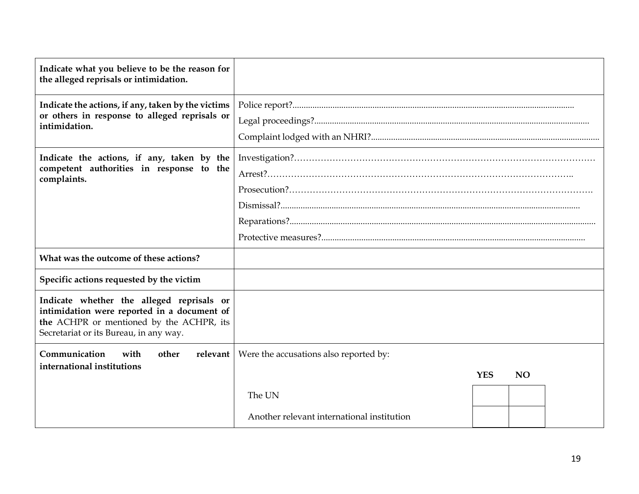| Indicate what you believe to be the reason for<br>the alleged reprisals or intimidation.                                                                                       |                                            |            |           |  |
|--------------------------------------------------------------------------------------------------------------------------------------------------------------------------------|--------------------------------------------|------------|-----------|--|
| Indicate the actions, if any, taken by the victims<br>or others in response to alleged reprisals or<br>intimidation.                                                           |                                            |            |           |  |
| Indicate the actions, if any, taken by the<br>competent authorities in response to the<br>complaints.                                                                          |                                            |            |           |  |
| What was the outcome of these actions?                                                                                                                                         |                                            |            |           |  |
| Specific actions requested by the victim                                                                                                                                       |                                            |            |           |  |
| Indicate whether the alleged reprisals or<br>intimidation were reported in a document of<br>the ACHPR or mentioned by the ACHPR, its<br>Secretariat or its Bureau, in any way. |                                            |            |           |  |
| Communication<br>with<br>other<br>relevant  <br>international institutions                                                                                                     | Were the accusations also reported by:     |            |           |  |
|                                                                                                                                                                                |                                            | <b>YES</b> | <b>NO</b> |  |
|                                                                                                                                                                                | The UN                                     |            |           |  |
|                                                                                                                                                                                | Another relevant international institution |            |           |  |